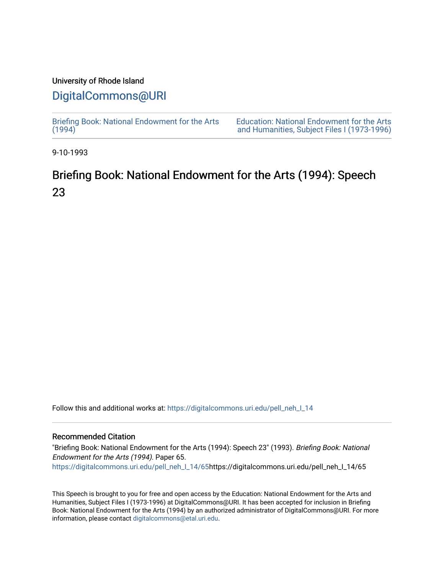### University of Rhode Island

## [DigitalCommons@URI](https://digitalcommons.uri.edu/)

[Briefing Book: National Endowment for the Arts](https://digitalcommons.uri.edu/pell_neh_I_14)  $(1994)$ 

[Education: National Endowment for the Arts](https://digitalcommons.uri.edu/pell_neh_I)  [and Humanities, Subject Files I \(1973-1996\)](https://digitalcommons.uri.edu/pell_neh_I) 

9-10-1993

# Briefing Book: National Endowment for the Arts (1994): Speech 23

Follow this and additional works at: [https://digitalcommons.uri.edu/pell\\_neh\\_I\\_14](https://digitalcommons.uri.edu/pell_neh_I_14?utm_source=digitalcommons.uri.edu%2Fpell_neh_I_14%2F65&utm_medium=PDF&utm_campaign=PDFCoverPages) 

#### Recommended Citation

"Briefing Book: National Endowment for the Arts (1994): Speech 23" (1993). Briefing Book: National Endowment for the Arts (1994). Paper 65. [https://digitalcommons.uri.edu/pell\\_neh\\_I\\_14/65h](https://digitalcommons.uri.edu/pell_neh_I_14/65?utm_source=digitalcommons.uri.edu%2Fpell_neh_I_14%2F65&utm_medium=PDF&utm_campaign=PDFCoverPages)ttps://digitalcommons.uri.edu/pell\_neh\_I\_14/65

This Speech is brought to you for free and open access by the Education: National Endowment for the Arts and Humanities, Subject Files I (1973-1996) at DigitalCommons@URI. It has been accepted for inclusion in Briefing Book: National Endowment for the Arts (1994) by an authorized administrator of DigitalCommons@URI. For more information, please contact [digitalcommons@etal.uri.edu.](mailto:digitalcommons@etal.uri.edu)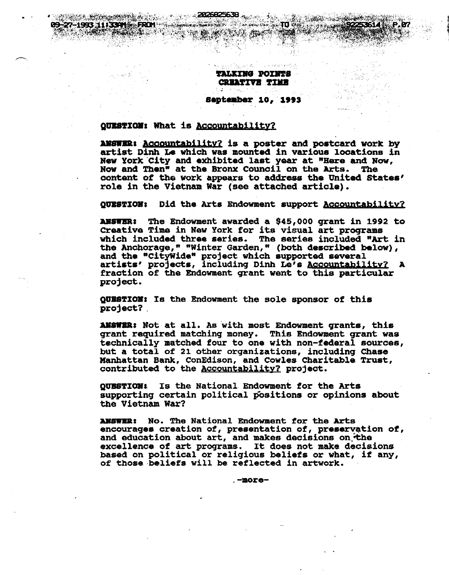**TALKING POINTS CREATIVE TIME** 

·~ r,; '

September 10, 1993

#### QUESTION: What is Accountability?

, .•:';;isi;~;~~~~·,;,J;, ~~~~.~~,.

ANSWER: Accountability? is a poster and postcard work by artist Dinh Le which was mounted in various locations in New York.City and exhibited last year at "Here and Now, Now and Then• at the Bronx Council on the Arts. The content of the work appears to address the United States' role in the Vietnam War (see attached article).

QUESTION: Did the Arts Endowment support Accountability?

ANSWER: The Endowment awarded a \$45,000 grant in 1992 to creative Time in New York for its visual art proqrams which included three series. The series included "Art in the Anchorage," "Winter Garden," (both described below), and the "CityWide" project which supported several and the Cleywrde project which supported several fraction of the Endowment grant went to this particular project.

QUESTION: Is the Endowment the sole sponsor of this project?.

ANSWER: Not at all. As with most Endowment grants, this grant required matching money. This Endowment grant was technically matched four to one with non-federal sources, but a total of 21 other orqanizationa, including Chase Manhattan Bank, ConEdison, and Cowles Charitable Trust, contributed to the Accountability? project.

QUESTION: Is the National Endowment for the Arts supporting certain political positions or opinions about the Vietnam War?

ANSWER: No. The National Endowment for the Arts encourages creation of, presentation of, preservation of, and education about art, and makes decisions on the excellence of art proqrams. It does not make decisions based on political or religious beliefs or what, if any, of those beliefs will be reflected in artwork.

. -more-